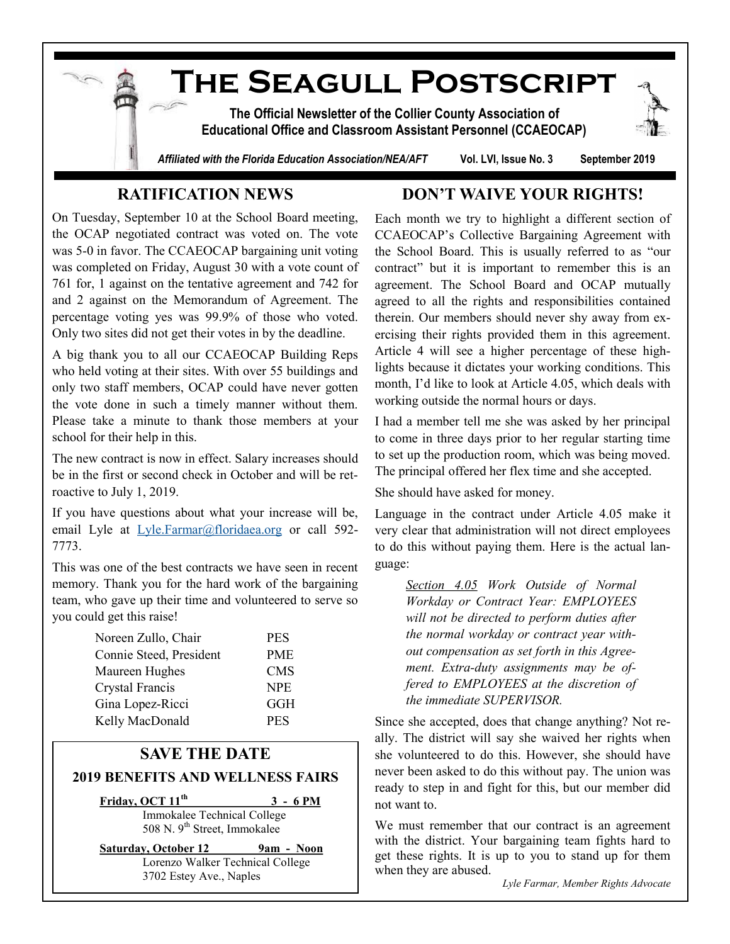**The Seagull Postscript**

**The Official Newsletter of the Collier County Association of Educational Office and Classroom Assistant Personnel (CCAEOCAP)**



*Affiliated with the Florida Education Association/NEA/AFT* **Vol. LVI, Issue No. 3 September 2019**

## **RATIFICATION NEWS**

On Tuesday, September 10 at the School Board meeting, the OCAP negotiated contract was voted on. The vote was 5-0 in favor. The CCAEOCAP bargaining unit voting was completed on Friday, August 30 with a vote count of 761 for, 1 against on the tentative agreement and 742 for and 2 against on the Memorandum of Agreement. The percentage voting yes was 99.9% of those who voted. Only two sites did not get their votes in by the deadline.

A big thank you to all our CCAEOCAP Building Reps who held voting at their sites. With over 55 buildings and only two staff members, OCAP could have never gotten the vote done in such a timely manner without them. Please take a minute to thank those members at your school for their help in this.

The new contract is now in effect. Salary increases should be in the first or second check in October and will be retroactive to July 1, 2019.

If you have questions about what your increase will be, email Lyle at [Lyle.Farmar@floridaea.org](mailto:Lyle.Farmar@floridaea.org) or call 592-7773.

This was one of the best contracts we have seen in recent memory. Thank you for the hard work of the bargaining team, who gave up their time and volunteered to serve so you could get this raise!

| Noreen Zullo, Chair     | <b>PES</b> |
|-------------------------|------------|
| Connie Steed, President | <b>PME</b> |
| Maureen Hughes          | <b>CMS</b> |
| Crystal Francis         | <b>NPE</b> |
| Gina Lopez-Ricci        | <b>GGH</b> |
| Kelly MacDonald         | <b>PES</b> |

# **SAVE THE DATE 2019 BENEFITS AND WELLNESS FAIRS**

**Friday, OCT 11th 3 - 6 PM**

Immokalee Technical College 508 N. 9<sup>th</sup> Street, Immokalee

**Saturday, October 12** 9am **-** Noon Lorenzo Walker Technical College 3702 Estey Ave., Naples

## **DON'T WAIVE YOUR RIGHTS!**

Each month we try to highlight a different section of CCAEOCAP's Collective Bargaining Agreement with the School Board. This is usually referred to as "our contract" but it is important to remember this is an agreement. The School Board and OCAP mutually agreed to all the rights and responsibilities contained therein. Our members should never shy away from exercising their rights provided them in this agreement. Article 4 will see a higher percentage of these highlights because it dictates your working conditions. This month, I'd like to look at Article 4.05, which deals with working outside the normal hours or days.

I had a member tell me she was asked by her principal to come in three days prior to her regular starting time to set up the production room, which was being moved. The principal offered her flex time and she accepted.

She should have asked for money.

Language in the contract under Article 4.05 make it very clear that administration will not direct employees to do this without paying them. Here is the actual language:

*Section 4.05 Work Outside of Normal Workday or Contract Year: EMPLOYEES will not be directed to perform duties after the normal workday or contract year without compensation as set forth in this Agreement. Extra-duty assignments may be offered to EMPLOYEES at the discretion of the immediate SUPERVISOR.*

Since she accepted, does that change anything? Not really. The district will say she waived her rights when she volunteered to do this. However, she should have never been asked to do this without pay. The union was ready to step in and fight for this, but our member did not want to.

We must remember that our contract is an agreement with the district. Your bargaining team fights hard to get these rights. It is up to you to stand up for them when they are abused.